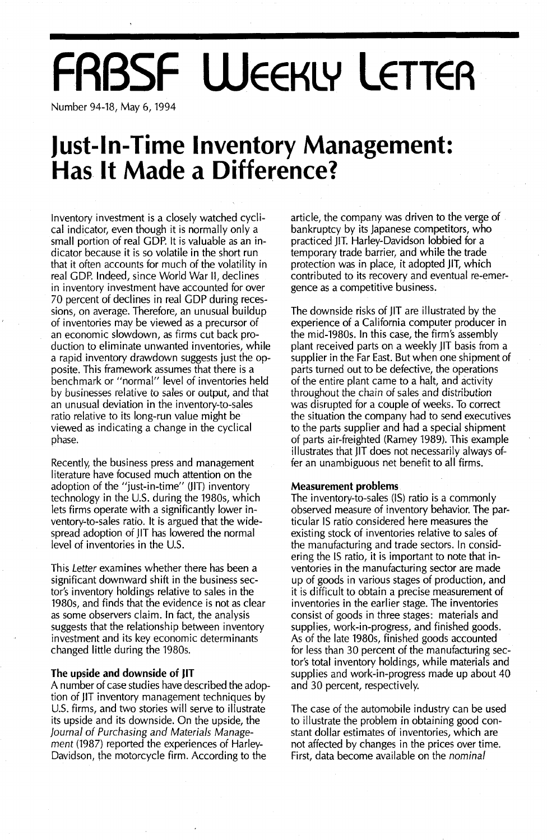# **FRBSF WEEKLY LETTER**

Number 94-18, May 6, 1994

### **Just-In-Time Inventory Management: Has It Made a Difference?**

Inventory investment is a closely watched cyclical indicator, even though it is normally only a small portion of real GOP. It is valuable as an indicator because it is so volatile in the short run that it often accounts for much of the volatility in real GOP. Indeed, since World War II, declines in inventory investment have accounted for over 70 percent of declines in real GOP during recessions, on average. Therefore, an unusual buildup of inventories may be viewed as a precursor of an economic slowdown, as firms cut back production to eliminate unwanted inventories, while a rapid inventory drawdown suggests just the opposite. This framework assumes that there is a benchmark or "normal" level of inventories held by businesses relative to sales or output, and that an unusual deviation in the inventory-to-sales ratio relative to its long-run value might be viewed as indicating a change in the cyclical phase.

Recently, the business press and management literature have focused much attention on the adoption of the "just-in-time" UIT) inventory technology in the U.S. during the 1980s, which lets firms operate with a significantly lower inventory-to-sales ratio. It is argued that the widespread adoption of JIT has lowered the normal level of inventories in the U.S.

This Letter examines whether there has been a significant downward shift in the business sector's inventory holdings relative to sales in the 1980s, and finds that the evidence is not as clear as some observers claim. In fact, the analysis suggests that the relationship between inventory investment and its key economic determinants changed little during the 1980s.

#### **The upside and downside of )IT**

A number of case studies have described the adoption of jlT inventory management techniques by U.S. firms, and two stories will serve to illustrate its upside and its downside. On the upside, the Journal of Purchasing and Materials Management (1987) reported the experiences of Harley-Davidson, the motorcycle firm. According to the

article, the company was driven to the verge of bankruptcy by its japanese competitors, who practiced liT. Harley-Davidson lobbied for a temporary trade barrier, and while the trade protection was in place, it adopted jlT, which contributed to its recovery and eventual re-emergence as a competitive business.

The downside risks of jlT are illustrated by the experience of a California computer producer in the mid-1980s. In this case, the firm's assembly plant received parts on a weekly jlT basis from a supplier in the Far East. But when one shipment of parts turned out to be defective, the operations of the entire plant came to a halt, and activity throughout the chain of sales and distribution was disrupted for a couple of weeks. To correct the situation the company had to send executives to the parts supplier and had a special shipment of parts air-freighted (Ramey 1989). This example illustrates that jlT does not necessarily always offer an unambiguous net benefit to all firms.

#### **Measurement problems**

The inventory-to-sales (IS) ratio is a commonly observed measure of inventory behavior. The particular IS ratio considered here measures the existing stock of inventories relative to sales of the manufacturing and trade sectors. In considering the IS ratio, it is important to note that inventories in the manufacturing sector are made up of goods in various stages of production, and it is difficult to obtain a precise measurement of inventories in the earlier stage. The inventories consist of goods in three stages: materials and supplies, work-in-progress, and finished goods. As of the late 1980s, finished goods accounted for less than 30 percent of the manufacturing sector's total inventory holdings, while materials and supplies and work-in-progress made up about 40 and 30 percent, respectively.

The case of the automobile industry can be used to illustrate the problem in obtaining good constant dollar estimates of inventories, which are not affected by changes in the prices over time. First, data become available on the nominal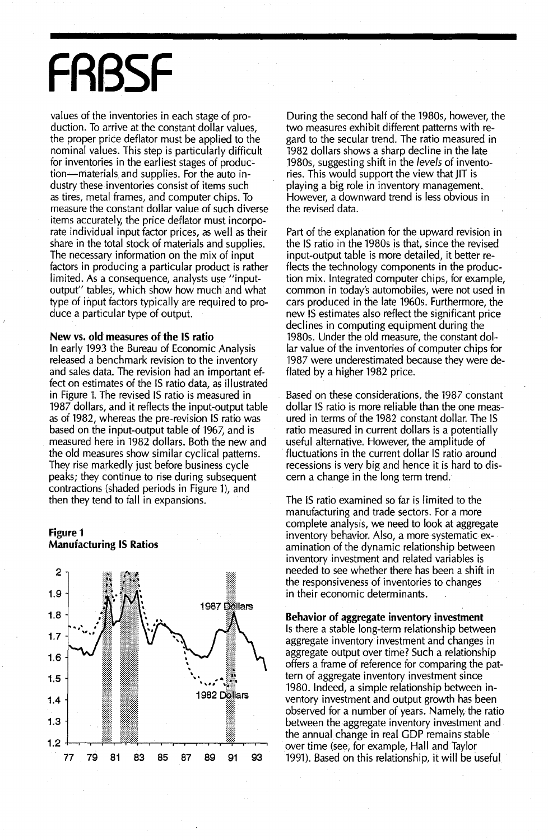## **FRBSF**

values of the inventories in each stage of production. To arrive at the constant dollar values, the proper price deflator must be applied to the nominal values. This step is particularly difficult for inventories in the earliest stages of produc~ tion-materials and supplies. For the auto industry these inventories consist of items such as tires, metal frames, and computer chips. To measure the constant dollar value of such diverse items accurately, the price deflator must incorporate individual input factor prices, as well as their share in the total stock of materials and supplies. The necessary information on the mix of input factors in producing a particular product is rather limited. As a consequence, analysts use "inputoutput" tables, which show how much and what type of input factors typically are required to produce a particular type of output.

#### New vs. old measures of the IS ratio

In early 1993 the Bureau of Economic Analysis released a benchmark revision to the inventory and sales data. The revision had an important effect on estimates of the IS ratio data, as illustrated in Figure 1. The revised is ratio is measured in 1987 dollars, and it reflects the input-output table as of 1982, whereas the pre-revision IS ratio was based on the input-output table of 1967, and is measured here in 1982 dollars. Both the new and the old measures show similar cyclical patterns. They rise markedly just before business cycle peaks; they continue to rise during subsequent contractions (shaded periods in Figure 1), and then they tend to fall in expansions.

#### Figure 1 Manufacturing IS Ratios



During the second half of the 1980s, however, the two measures exhibit different patterns with regard to the secular trend. The ratio measured in 1982 dollars shows a sharp decline in the late 1980s, suggesting shift in the *levels* of inventories. This would support the view that JIT is playing a big role in inventory management. However, a downward trend is less obvious in the revised data.

Part of the explanation for the upward revision in the IS ratio in the 1980s is that, since the revised input-output table is more detailed, it better reflects the technology components in the production mix. Integrated computer chips, for example, common in today's automobiles, were not used in cars produced in the late 1960s. Furthermore, the new IS estimates also reflect the significant price declines in computing equipment during the 1980s. Under the old measure, the constant dollar value of the inventories of computer chips for 1987 were underestimated because they were deflated by a higher 1982 price.

Based on these considerations, the 1987 constant dollar IS ratio is more reliable than the one measured in terms of the 1982 constant dollar. The IS ratio measured in current dollars is a potentially useful alternative. However, the amplitude of fluctuations in the current dollar IS ratio around recessions is very big and hence it is hard to discern a change in the long term trend.

The IS ratio examined so far is limited to the manufacturing and trade sectors. For a more complete analysis, we need to look at aggregate inventory behavior. Also, a more systematic examination of the dynamic relationship between inventory investment and related variables is needed to see whether there has been a shift in the responsiveness of inventories to changes in their economic determinants.

#### Behavior of aggregate inventory investment

Is there a stable long-term relationship between aggregate inventory investment and changes in aggregate output over time? Such a relationship offers a frame of reference for comparing the pattern of aggregate inventory investment since 1980. Indeed, a simple relationship between inventory investment and output growth has been observed for a number of years. Namely, the ratio between the aggregate inventory investment and the annual change in real CDP remains stable over time (see, for example, Hall and Taylor 1991). Based on this relationship, it will be useful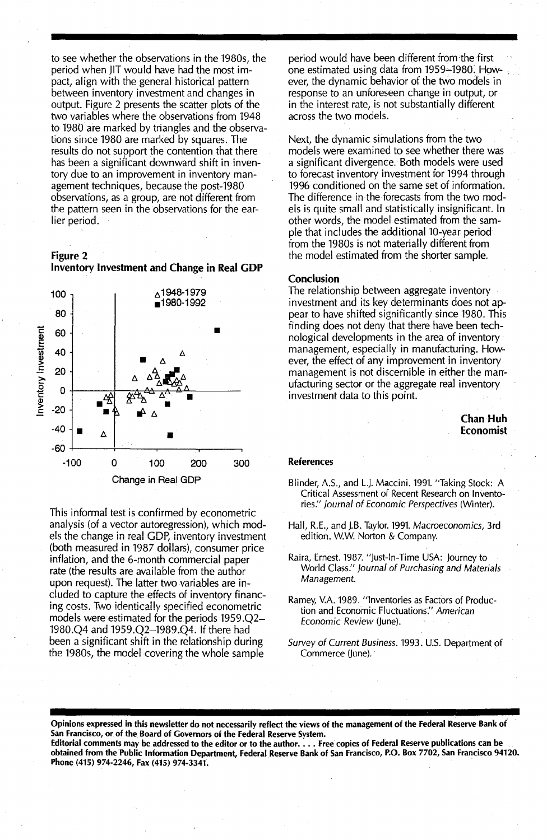to see whether the observations in the 1980s, the period when JIT would have had the most impact, align with the general historical pattern between inventory investment and changes in output. Figure 2 presents the scatter plots of the two variables where the observations from 1948 to 1980 are marked by triangles and the observations since 1980 are marked by squares. The results do not support the contention that there has been a significant downward shift in inventory due to an improvement in inventory management techniques, because the post-1980 observations, as a group, are not different from the pattern seen in the observations for the earlier period.

Figure 2





This informal test is confirmed by econometric analysis (of a vector autoregression), which models the change in real GOP, inventory investment (both measured in 1987 dollars), consumer price inflation, and the 6-month commercial paper rate (the results are available from the author upon request). The latter two variables are included to capture the effects of inventory financing costs. Two identically specified econometric models were estimated for the periods 1959.Q2- 1980.Q4 and 1959.Q2-1989.Q4. If there had been a significant shift in the relationship during the 1980s, the model covering the whole sample

period would have been different from the first one estimated using data from 1959-1980: However, the dynamic behavior of the two models in response to an unforeseen change in output, or in the interest rate, is not substantially different across the two models.

Next, the dynamic simulations from the two models were examined to see whether there was a significant divergence. Both models were used to forecast inventory investment for 1994 through 1996 conditioned on the same set of information. The difference in the forecasts from the two models is quite small and statistically insignificant. in other words, the model estimated from the sample that includes the additional 10-year period from the 1980s is not materially different from the model estimated from the shorter sample.

#### Conclusion

The relationship between aggregate inventory investment and its key determinants does not appear to have shifted significantly since 1980. This finding does not deny that there have been technological developments in the area of inventory management, especially in manufacturing. However, the effect of any improvement in inventory management is not discernible in either the manufacturing sector or the aggregate real inventory investment data to this point.

> Chan Huh Economist

#### References

- Blinder, A.S., and L.J. Maccini. 1991. "Taking Stock: A Critical Assessment of Recent Research on Inventories." Journal of Economic Perspectives (Winter).
- Hall, R.E., and J.B. Taylor. 1991. Macroeconomics, 3rd edition. W.W. Norton & Company.
- Raira, Ernest. 1987. "Just-In-Time USA: Journey to World Class:' Journal of Purchasing and Materials Management.
- Ramey, V.A.1989. "Inventories as Factors of Production and Economic Fluctuations:' American Economic Review (June).
- Survey of Current Business. 1993. U.S. Department of Commerce (June).

Opinions expressed in this newsletter do not necessarily reflect the views of the management of the Federal Reserve Bank of San Francisco, or of the Board of Governors of the Federal Reserve System. Editorial comments may be addressed to the editor or to the author.... Free copies of Federal Reserve publications can be obtained from the Public Information Department, Federal Reserve Bank of San Francisco, P.O. Box 7702, San Francisco 94120. Phone (415) 974-2246, Fax (415) 974-3341.